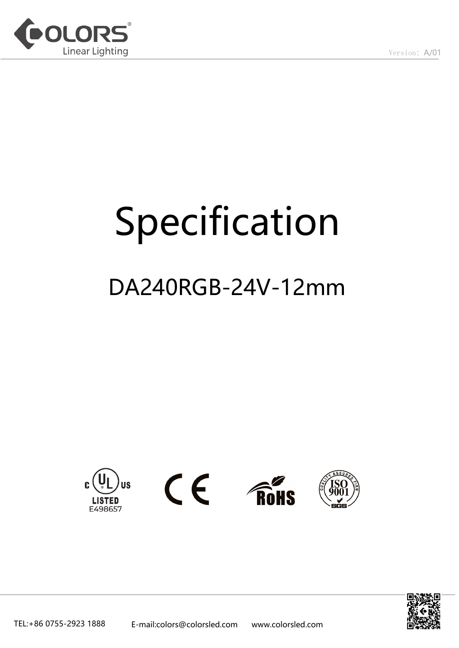

# Specification

## DA240RGB-24V-12mm



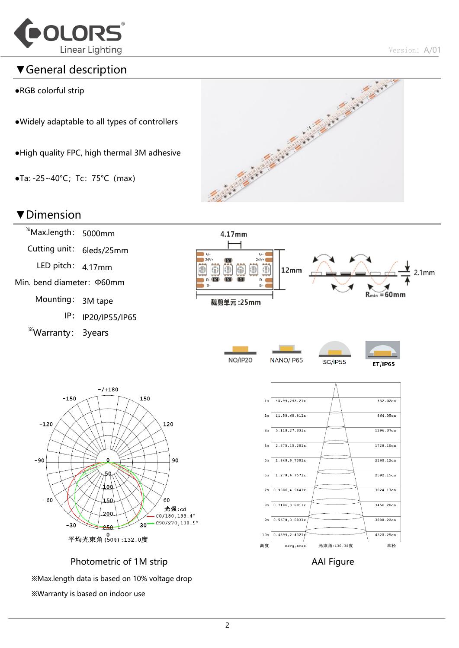

#### ▼General description

- ●RGB colorful strip
- ●Widely adaptable to all types of controllers
- ●High quality FPC, high thermal 3M adhesive
- $\bullet$ Ta: -25~40°C; Tc: 75°C (max)



#### ▼Dimension



※Max.length data is based on 10% voltage drop ※Warranty is based on indoor use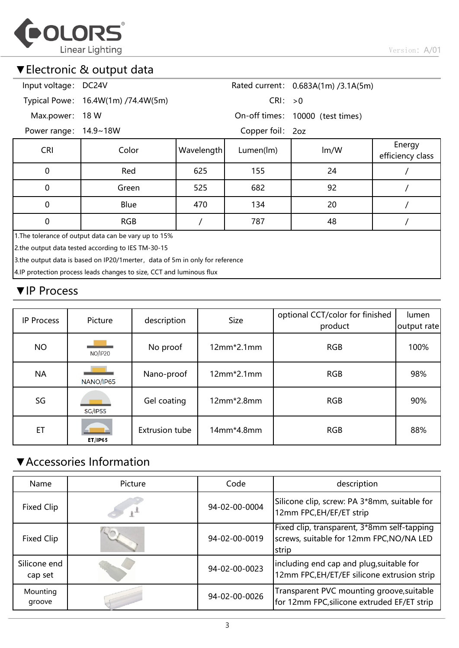

#### ▼Electronic & output data

| Input voltage: DC24V                                                         |                                    |            |                  | Rated current: 0.683A(1m) /3.1A(5m) |                            |  |  |  |
|------------------------------------------------------------------------------|------------------------------------|------------|------------------|-------------------------------------|----------------------------|--|--|--|
|                                                                              | Typical Powe: 16.4W(1m) /74.4W(5m) |            | CRI: >0          |                                     |                            |  |  |  |
| Max.power:                                                                   | 18 W                               |            |                  | On-off times: 10000 (test times)    |                            |  |  |  |
| Power range: 14.9~18W                                                        |                                    |            | Copper foil: 2oz |                                     |                            |  |  |  |
| <b>CRI</b>                                                                   | Color                              | Wavelength | Lumen(lm)        | Im/W                                | Energy<br>efficiency class |  |  |  |
| $\mathbf 0$                                                                  | Red                                | 625        | 155              | 24                                  |                            |  |  |  |
| $\mathbf 0$                                                                  | Green                              | 525        | 682              | 92                                  |                            |  |  |  |
| $\mathbf 0$                                                                  | Blue                               | 470        | 134              | 20                                  |                            |  |  |  |
| $\Omega$                                                                     | <b>RGB</b>                         |            | 787              | 48                                  |                            |  |  |  |
| 1. The tolerance of output data can be vary up to 15%                        |                                    |            |                  |                                     |                            |  |  |  |
| 2.the output data tested according to IES TM-30-15                           |                                    |            |                  |                                     |                            |  |  |  |
| 3.the output data is based on IP20/1merter, data of 5m in only for reference |                                    |            |                  |                                     |                            |  |  |  |
| 4.IP protection process leads changes to size, CCT and luminous flux         |                                    |            |                  |                                     |                            |  |  |  |
|                                                                              |                                    |            |                  |                                     |                            |  |  |  |

#### ▼IP Process

| <b>IP Process</b> | Picture        |                       | <b>Size</b>  | optional CCT/color for finished | lumen       |
|-------------------|----------------|-----------------------|--------------|---------------------------------|-------------|
|                   |                | description           |              | product                         | output rate |
| <b>NO</b>         | <b>NO/IP20</b> | No proof              | $12mm*2.1mm$ | <b>RGB</b>                      | 100%        |
| <b>NA</b>         | NANO/IP65      | Nano-proof            | $12mm*2.1mm$ | <b>RGB</b>                      | 98%         |
| SG                | <b>SG/IP55</b> | Gel coating           | $12mm*2.8mm$ | <b>RGB</b>                      | 90%         |
| ET                | <b>ET/IP65</b> | <b>Extrusion tube</b> | 14mm*4.8mm   | <b>RGB</b>                      | 88%         |

#### ▼Accessories Information

| Name                    | Picture | Code          | description                                                                                      |  |  |
|-------------------------|---------|---------------|--------------------------------------------------------------------------------------------------|--|--|
| Fixed Clip              |         | 94-02-00-0004 | Silicone clip, screw: PA 3*8mm, suitable for<br>12mm FPC, EH/EF/ET strip                         |  |  |
| Fixed Clip              |         | 94-02-00-0019 | Fixed clip, transparent, 3*8mm self-tapping<br>screws, suitable for 12mm FPC, NO/NA LED<br>strip |  |  |
| Silicone end<br>cap set |         | 94-02-00-0023 | including end cap and plug, suitable for<br>12mm FPC,EH/ET/EF silicone extrusion strip           |  |  |
| Mounting<br>groove      |         | 94-02-00-0026 | Transparent PVC mounting groove, suitable<br>for 12mm FPC, silicone extruded EF/ET strip         |  |  |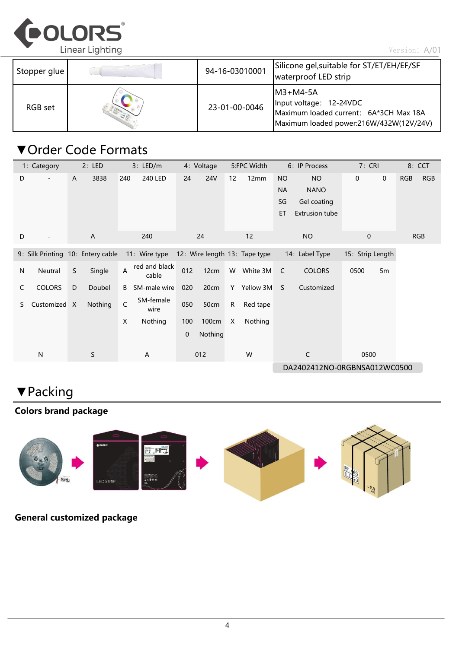

Version: A/01

| Stopper glue | 94-16-03010001 | Silicone gel, suitable for ST/ET/EH/EF/SF<br>waterproof LED strip                                                           |
|--------------|----------------|-----------------------------------------------------------------------------------------------------------------------------|
| RGB set      | 23-01-00-0046  | $IM3+M4-5A$<br>Input voltage: 12-24VDC<br>Maximum loaded current: 6A*3CH Max 18A<br>Maximum loaded power:216W/432W(12V/24V) |

#### ▼Order Code Formats

|    | 1: Category                       |   | 2: LED       |     | 3: LED/m               |     | 4: Voltage | 5:FPC Width |                               |                             | 6: IP Process                                                    | 7: CRI           |             |     | 8: CCT     |
|----|-----------------------------------|---|--------------|-----|------------------------|-----|------------|-------------|-------------------------------|-----------------------------|------------------------------------------------------------------|------------------|-------------|-----|------------|
| D  |                                   | A | 3838         | 240 | <b>240 LED</b>         | 24  | <b>24V</b> | 12          | 12mm                          | NO<br><b>NA</b><br>SG<br>ET | <b>NO</b><br><b>NANO</b><br>Gel coating<br><b>Extrusion tube</b> | 0                | $\mathbf 0$ | RGB | <b>RGB</b> |
| D  |                                   |   | $\mathsf{A}$ |     | 240                    |     | 24         |             | 12                            |                             | <b>NO</b>                                                        | $\mathbf 0$      |             |     | <b>RGB</b> |
|    | 9: Silk Printing 10: Entery cable |   |              |     | 11: Wire type          |     |            |             | 12: Wire length 13: Tape type |                             | 14: Label Type                                                   | 15: Strip Length |             |     |            |
| N  | Neutral                           | S | Single       | A   | red and black<br>cable | 012 | 12cm       | W           | White 3M                      | C                           | <b>COLORS</b>                                                    | 0500             | 5m          |     |            |
| C  | <b>COLORS</b>                     | D | Doubel       | B   | SM-male wire           | 020 | 20cm       |             | Y Yellow 3M                   | S.                          | Customized                                                       |                  |             |     |            |
| S. | Customized X                      |   | Nothing      | C   | SM-female<br>wire      | 050 | 50cm       | R           | Red tape                      |                             |                                                                  |                  |             |     |            |
|    |                                   |   |              | X   | Nothing                | 100 | 100cm      | X           | Nothing                       |                             |                                                                  |                  |             |     |            |
|    |                                   |   |              |     |                        | 0   | Nothing    |             |                               |                             |                                                                  |                  |             |     |            |
|    | N                                 |   | S            |     | A                      |     | 012        |             | W                             |                             | $\mathsf{C}$                                                     | 0500             |             |     |            |
|    |                                   |   |              |     |                        |     |            |             | DA2402412NO-0RGBNSA012WC0500  |                             |                                                                  |                  |             |     |            |

### ▼Packing

#### Colors brand package



#### General customized package